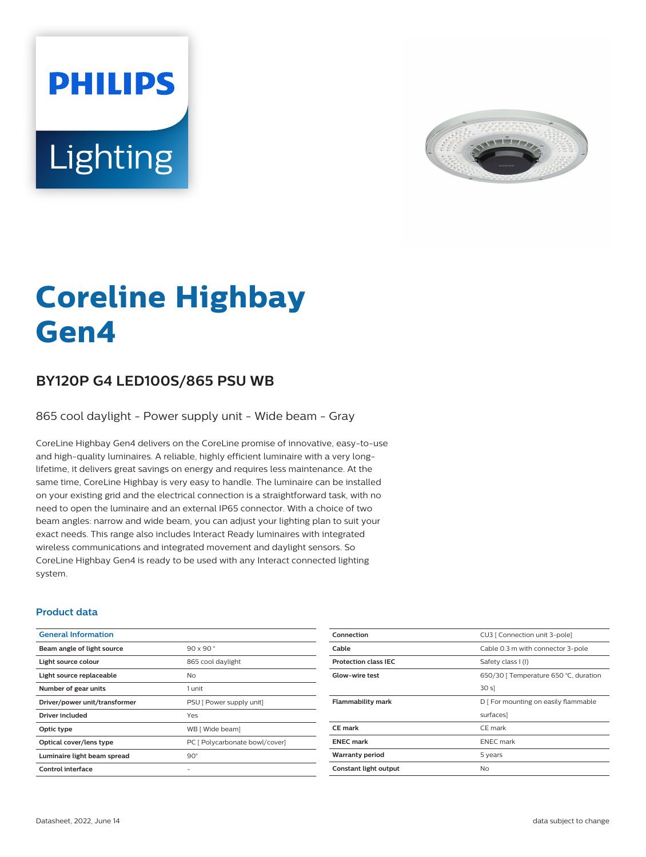



# **Coreline Highbay Gen4**

## **BY120P G4 LED100S/865 PSU WB**

865 cool daylight - Power supply unit - Wide beam - Gray

CoreLine Highbay Gen4 delivers on the CoreLine promise of innovative, easy-to-use and high-quality luminaires. A reliable, highly efficient luminaire with a very longlifetime, it delivers great savings on energy and requires less maintenance. At the same time, CoreLine Highbay is very easy to handle. The luminaire can be installed on your existing grid and the electrical connection is a straightforward task, with no need to open the luminaire and an external IP65 connector. With a choice of two beam angles: narrow and wide beam, you can adjust your lighting plan to suit your exact needs. This range also includes Interact Ready luminaires with integrated wireless communications and integrated movement and daylight sensors. So CoreLine Highbay Gen4 is ready to be used with any Interact connected lighting system.

#### **Product data**

| <b>General Information</b>    |                                |
|-------------------------------|--------------------------------|
| Beam angle of light source    | $90 \times 90$                 |
| Light source colour           | 865 cool daylight              |
| Light source replaceable      | Nο                             |
| Number of gear units          | 1 unit                         |
| Driver/power unit/transformer | PSU [ Power supply unit]       |
| Driver included               | Yes                            |
| Optic type                    | WB [ Wide beam]                |
| Optical cover/lens type       | PC [ Polycarbonate bowl/cover] |
| Luminaire light beam spread   | $90^\circ$                     |
| Control interface             |                                |
|                               |                                |

| Connection                  | CU3   Connection unit 3-pole]         |
|-----------------------------|---------------------------------------|
| Cable                       | Cable 0.3 m with connector 3-pole     |
| <b>Protection class IEC</b> | Safety class I (I)                    |
| Glow-wire test              | 650/30   Temperature 650 °C, duration |
|                             | 30 sl                                 |
| <b>Flammability mark</b>    | D   For mounting on easily flammable  |
|                             | surfaces]                             |
| <b>CE</b> mark              | CE mark                               |
| <b>ENEC mark</b>            | <b>ENEC</b> mark                      |
| <b>Warranty period</b>      | 5 years                               |
| Constant light output       | No                                    |
|                             |                                       |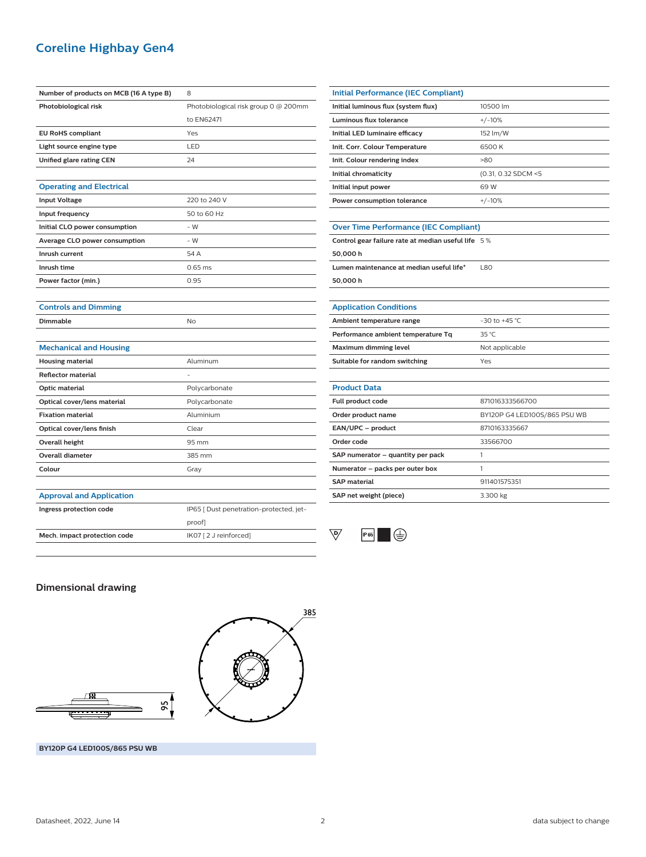## **Coreline Highbay Gen4**

| Number of products on MCB (16 A type B) | 8                                       |
|-----------------------------------------|-----------------------------------------|
| Photobiological risk                    | Photobiological risk group 0 @ 200mm    |
|                                         | to EN62471                              |
| <b>EU RoHS compliant</b>                | Yes                                     |
| Light source engine type                | LED                                     |
| Unified glare rating CEN                | 24                                      |
|                                         |                                         |
| <b>Operating and Electrical</b>         |                                         |
| <b>Input Voltage</b>                    | 220 to 240 V                            |
| Input frequency                         | 50 to 60 Hz                             |
| Initial CLO power consumption           | $-W$                                    |
| Average CLO power consumption           | - W                                     |
| Inrush current                          | 54 A                                    |
| Inrush time                             | $0.65$ ms                               |
| Power factor (min.)                     | 0.95                                    |
|                                         |                                         |
| <b>Controls and Dimming</b>             |                                         |
| <b>Dimmable</b>                         | No                                      |
|                                         |                                         |
| <b>Mechanical and Housing</b>           |                                         |
| <b>Housing material</b>                 | Aluminum                                |
| <b>Reflector material</b>               |                                         |
| Optic material                          | Polycarbonate                           |
| Optical cover/lens material             | Polycarbonate                           |
| <b>Fixation material</b>                | Aluminium                               |
| Optical cover/lens finish               | Clear                                   |
| <b>Overall height</b>                   | 95 mm                                   |
| <b>Overall diameter</b>                 | 385 mm                                  |
| Colour                                  | Gray                                    |
|                                         |                                         |
| <b>Approval and Application</b>         |                                         |
| Ingress protection code                 | IP65 [ Dust penetration-protected, jet- |
|                                         | proof]                                  |
| Mech. impact protection code            | IK07 [2 J reinforced]                   |

| <b>Initial Performance (IEC Compliant)</b>         |                              |
|----------------------------------------------------|------------------------------|
| Initial luminous flux (system flux)                | 10500 lm                     |
| Luminous flux tolerance                            | $+/-10%$                     |
| Initial LED luminaire efficacy                     | 152 lm/W                     |
| Init. Corr. Colour Temperature                     | 6500K                        |
| Init. Colour rendering index                       | >80                          |
| Initial chromaticity                               | (0.31, 0.32 SDCM <5          |
| Initial input power                                | 69 W                         |
| Power consumption tolerance                        | $+/-10%$                     |
|                                                    |                              |
| <b>Over Time Performance (IEC Compliant)</b>       |                              |
| Control gear failure rate at median useful life 5% |                              |
| 50,000 h                                           |                              |
| Lumen maintenance at median useful life*           | <b>L80</b>                   |
| 50,000 h                                           |                              |
|                                                    |                              |
| <b>Application Conditions</b>                      |                              |
| Ambient temperature range                          | $-30$ to $+45$ °C            |
| Performance ambient temperature Tq                 | 35 °C                        |
| <b>Maximum dimming level</b>                       | Not applicable               |
| Suitable for random switching                      | Yes                          |
|                                                    |                              |
| <b>Product Data</b>                                |                              |
| Full product code                                  | 871016333566700              |
| Order product name                                 | BY120P G4 LED100S/865 PSU WB |
| EAN/UPC - product                                  | 8710163335667                |
| Order code                                         | 33566700                     |
| SAP numerator - quantity per pack                  | 1                            |
| Numerator - packs per outer box                    | 1                            |
| <b>SAP</b> material                                | 911401575351                 |



**SAP net weight (piece)** 3.300 kg

### **Dimensional drawing**





**BY120P G4 LED100S/865 PSU WB**